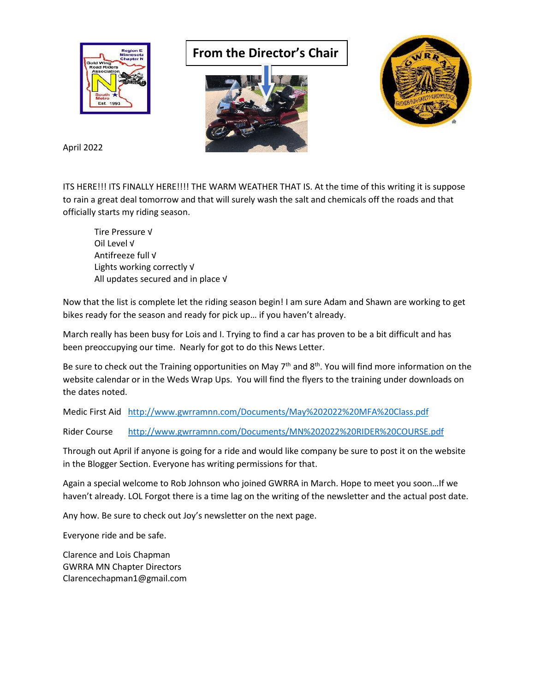

## **From the Director's Chair**





April 2022

ITS HERE!!! ITS FINALLY HERE!!!! THE WARM WEATHER THAT IS. At the time of this writing it is suppose to rain a great deal tomorrow and that will surely wash the salt and chemicals off the roads and that officially starts my riding season.

Tire Pressure √ Oil Level √ Antifreeze full √ Lights working correctly √ All updates secured and in place √

Now that the list is complete let the riding season begin! I am sure Adam and Shawn are working to get bikes ready for the season and ready for pick up… if you haven't already.

March really has been busy for Lois and I. Trying to find a car has proven to be a bit difficult and has been preoccupying our time. Nearly for got to do this News Letter.

Be sure to check out the Training opportunities on May 7<sup>th</sup> and 8<sup>th</sup>. You will find more information on the website calendar or in the Weds Wrap Ups. You will find the flyers to the training under downloads on the dates noted.

Medic First Aid <http://www.gwrramnn.com/Documents/May%202022%20MFA%20Class.pdf>

Rider Course <http://www.gwrramnn.com/Documents/MN%202022%20RIDER%20COURSE.pdf>

Through out April if anyone is going for a ride and would like company be sure to post it on the website in the Blogger Section. Everyone has writing permissions for that.

Again a special welcome to Rob Johnson who joined GWRRA in March. Hope to meet you soon…If we haven't already. LOL Forgot there is a time lag on the writing of the newsletter and the actual post date.

Any how. Be sure to check out Joy's newsletter on the next page.

Everyone ride and be safe.

Clarence and Lois Chapman GWRRA MN Chapter Directors Clarencechapman1@gmail.com